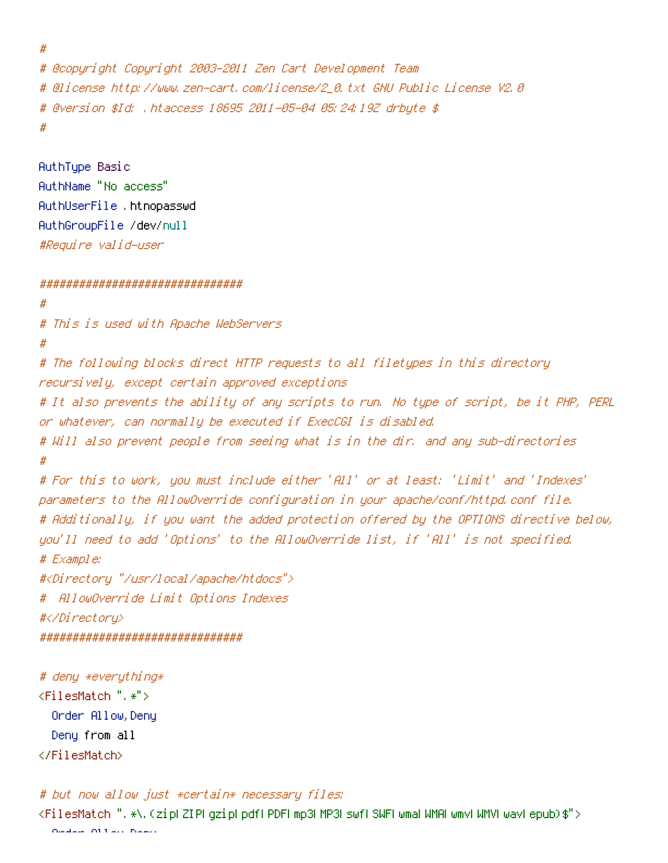```
# @copyright Copyright 2003-2011 Zen Cart Development Team
# @license http://www.zen-cart.com/license/2_0.txt GNU Public License V2.0
# @version $Id: .htaccess 18695 2011-05-04 05:24:19Z drbyte $
#
```

```
AuthType Basic
AuthName "No access"
AuthUserFile .htnopasswd
AuthGroupFile /dev/null
#Require valid-user
```
#

## ###############################

```
#
# This is used with Apache WebServers
#
# The following blocks direct HTTP requests to all filetypes in this directory
recursively, except certain approved exceptions
# It also prevents the ability of any scripts to run. No type of script, be it PHP, PERL
or whatever, can normally be executed if ExecCGI is disabled.
# Will also prevent people from seeing what is in the dir. and any sub-directories
#
# For this to work, you must include either 'All' or at least: 'Limit' and 'Indexes'
parameters to the AllowOverride configuration in your apache/conf/httpd.conf file.
# Additionally, if you want the added protection offered by the OPTIONS directive below,
you'll need to add 'Options' to the AllowOverride list, if 'All' is not specified.
# Example:
#<Directory "/usr/local/apache/htdocs">
# AllowOverride Limit Options Indexes
#</Directory>
###############################
```

```
# deny *everything*
<FilesMatch ".*">
  Order Allow,Deny
  Deny from all
</FilesMatch>
```
# but now allow just \*certain\* necessary files:

<FilesMatch ".\*\.(zip|ZIP|gzip|pdf|PDF|mp3|MP3|swf|SWF|wma|WMA|wmv|WMV|wav|epub)\$"> Order Allow,Deny